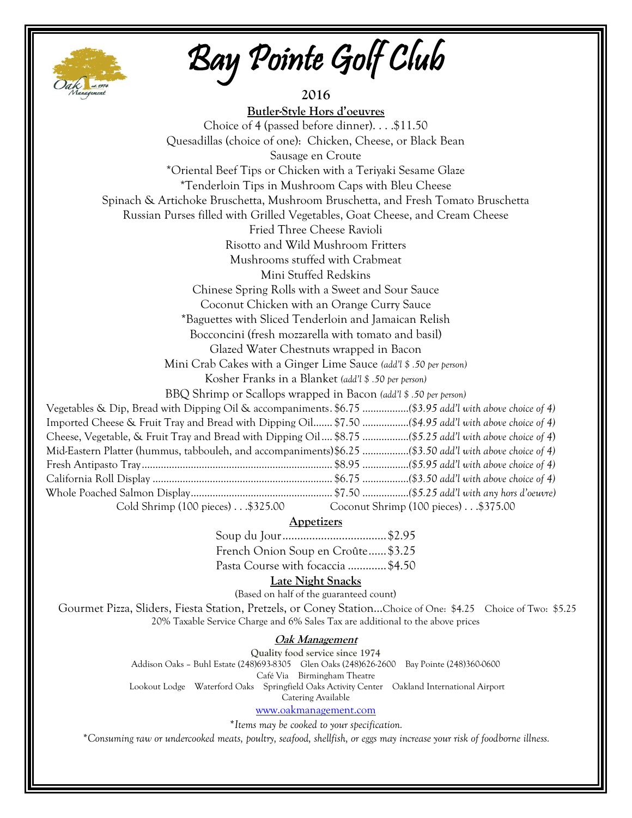

Bay Pointe Golf Club

| Cak at 1974<br>2016                                                                                                        |  |  |  |  |
|----------------------------------------------------------------------------------------------------------------------------|--|--|--|--|
| <b>Butler-Style Hors d'oeuvres</b>                                                                                         |  |  |  |  |
| Choice of 4 (passed before dinner). \$11.50                                                                                |  |  |  |  |
| Quesadillas (choice of one): Chicken, Cheese, or Black Bean                                                                |  |  |  |  |
| Sausage en Croute                                                                                                          |  |  |  |  |
| *Oriental Beef Tips or Chicken with a Teriyaki Sesame Glaze                                                                |  |  |  |  |
| <i>*Tenderloin Tips in Mushroom Caps with Bleu Cheese</i>                                                                  |  |  |  |  |
| Spinach & Artichoke Bruschetta, Mushroom Bruschetta, and Fresh Tomato Bruschetta                                           |  |  |  |  |
| Russian Purses filled with Grilled Vegetables, Goat Cheese, and Cream Cheese                                               |  |  |  |  |
| Fried Three Cheese Ravioli                                                                                                 |  |  |  |  |
| Risotto and Wild Mushroom Fritters                                                                                         |  |  |  |  |
| Mushrooms stuffed with Crabmeat                                                                                            |  |  |  |  |
| Mini Stuffed Redskins                                                                                                      |  |  |  |  |
| Chinese Spring Rolls with a Sweet and Sour Sauce                                                                           |  |  |  |  |
| Coconut Chicken with an Orange Curry Sauce                                                                                 |  |  |  |  |
| *Baguettes with Sliced Tenderloin and Jamaican Relish                                                                      |  |  |  |  |
| Bocconcini (fresh mozzarella with tomato and basil)                                                                        |  |  |  |  |
| Glazed Water Chestnuts wrapped in Bacon                                                                                    |  |  |  |  |
| Mini Crab Cakes with a Ginger Lime Sauce (add'l \$ .50 per person)                                                         |  |  |  |  |
| Kosher Franks in a Blanket (add'l \$ .50 per person)                                                                       |  |  |  |  |
| BBQ Shrimp or Scallops wrapped in Bacon (add'l \$ .50 per person)                                                          |  |  |  |  |
| Vegetables & Dip, Bread with Dipping Oil & accompaniments. \$6.75  (\$3.95 add'l with above choice of 4)                   |  |  |  |  |
| Imported Cheese & Fruit Tray and Bread with Dipping Oil \$7.50  (\$4.95 add'l with above choice of 4)                      |  |  |  |  |
| Cheese, Vegetable, & Fruit Tray and Bread with Dipping Oil  \$8.75  (\$5.25 add'l with above choice of 4)                  |  |  |  |  |
| Mid-Eastern Platter (hummus, tabbouleh, and accompaniments)\$6.25  (\$3.50 add'l with above choice of 4)                   |  |  |  |  |
|                                                                                                                            |  |  |  |  |
|                                                                                                                            |  |  |  |  |
| Cold Shrimp (100 pieces)\$325.00 Coconut Shrimp (100 pieces)\$375.00                                                       |  |  |  |  |
| <b>Appetizers</b>                                                                                                          |  |  |  |  |
|                                                                                                                            |  |  |  |  |
| French Onion Soup en Croûte \$3.25                                                                                         |  |  |  |  |
| Pasta Course with focaccia  \$4.50                                                                                         |  |  |  |  |
| Late Night Snacks                                                                                                          |  |  |  |  |
| (Based on half of the guaranteed count)                                                                                    |  |  |  |  |
| Gourmet Pizza, Sliders, Fiesta Station, Pretzels, or Coney StationChoice of One: \$4.25 Choice of Two: \$5.25              |  |  |  |  |
| 20% Taxable Service Charge and 6% Sales Tax are additional to the above prices                                             |  |  |  |  |
| Oak Management                                                                                                             |  |  |  |  |
| Quality food service since 1974                                                                                            |  |  |  |  |
| Addison Oaks - Buhl Estate (248)693-8305 Glen Oaks (248)626-2600<br>Bay Pointe (248)360-0600                               |  |  |  |  |
| Café Via Birmingham Theatre<br>Lookout Lodge Waterford Oaks Springfield Oaks Activity Center Oakland International Airport |  |  |  |  |
| Catering Available                                                                                                         |  |  |  |  |
| www.oakmanagement.com                                                                                                      |  |  |  |  |
| *Items may be cooked to your specification.                                                                                |  |  |  |  |
| *Consuming raw or undercooked meats, poultry, seafood, shellfish, or eggs may increase your risk of foodborne illness.     |  |  |  |  |

ı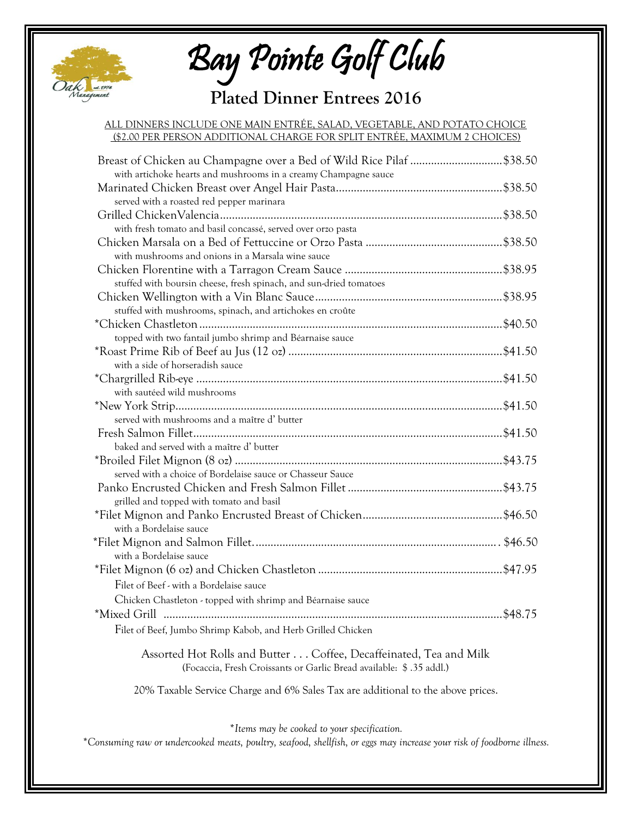

Bay Pointe Golf Club

## **Plated Dinner Entrees 2016**

#### ALL DINNERS INCLUDE ONE MAIN ENTRÉE, SALAD, VEGETABLE, AND POTATO CHOICE (\$2.00 PER PERSON ADDITIONAL CHARGE FOR SPLIT ENTRÉE, MAXIMUM 2 CHOICES)

| Breast of Chicken au Champagne over a Bed of Wild Rice Pilaf \$38.50<br>with artichoke hearts and mushrooms in a creamy Champagne sauce |  |
|-----------------------------------------------------------------------------------------------------------------------------------------|--|
|                                                                                                                                         |  |
| served with a roasted red pepper marinara                                                                                               |  |
|                                                                                                                                         |  |
| with fresh tomato and basil concassé, served over orzo pasta                                                                            |  |
|                                                                                                                                         |  |
| with mushrooms and onions in a Marsala wine sauce                                                                                       |  |
|                                                                                                                                         |  |
| stuffed with boursin cheese, fresh spinach, and sun-dried tomatoes                                                                      |  |
|                                                                                                                                         |  |
| stuffed with mushrooms, spinach, and artichokes en croûte                                                                               |  |
|                                                                                                                                         |  |
| topped with two fantail jumbo shrimp and Béarnaise sauce                                                                                |  |
|                                                                                                                                         |  |
| with a side of horseradish sauce                                                                                                        |  |
|                                                                                                                                         |  |
| with sautéed wild mushrooms                                                                                                             |  |
|                                                                                                                                         |  |
| served with mushrooms and a maître d' butter                                                                                            |  |
|                                                                                                                                         |  |
| baked and served with a maître d' butter                                                                                                |  |
|                                                                                                                                         |  |
| served with a choice of Bordelaise sauce or Chasseur Sauce                                                                              |  |
|                                                                                                                                         |  |
| grilled and topped with tomato and basil                                                                                                |  |
|                                                                                                                                         |  |
| with a Bordelaise sauce                                                                                                                 |  |
|                                                                                                                                         |  |
| with a Bordelaise sauce                                                                                                                 |  |
|                                                                                                                                         |  |
| Filet of Beef - with a Bordelaise sauce                                                                                                 |  |
| Chicken Chastleton - topped with shrimp and Béarnaise sauce                                                                             |  |
|                                                                                                                                         |  |
| Filet of Beef, Jumbo Shrimp Kabob, and Herb Grilled Chicken                                                                             |  |
| Assorted Hot Rolls and Butter Coffee, Decaffeinated, Tea and Milk                                                                       |  |
| (Focaccia, Fresh Croissants or Garlic Bread available: \$.35 addl.)                                                                     |  |

20% Taxable Service Charge and 6% Sales Tax are additional to the above prices.

*\*Items may be cooked to your specification.*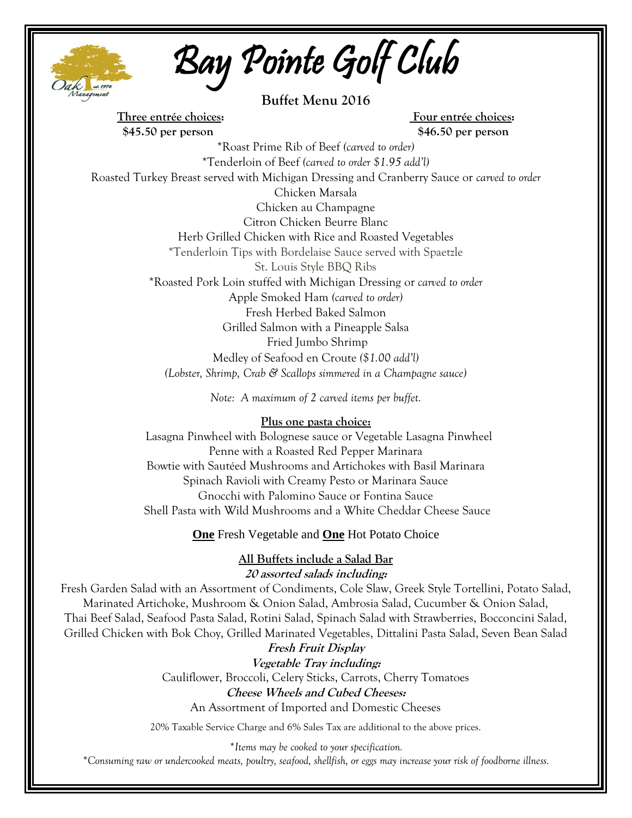

Bay Pointe Golf Club

**Buffet Menu 2016**

**Three entrée choices: Four entrée choices: \$45.50 per person \$46.50 per person**

\*Roast Prime Rib of Beef *(carved to order)* \*Tenderloin of Beef *(carved to order \$1.95 add'l)* Roasted Turkey Breast served with Michigan Dressing and Cranberry Sauce or *carved to order* Chicken Marsala Chicken au Champagne Citron Chicken Beurre Blanc Herb Grilled Chicken with Rice and Roasted Vegetables \*Tenderloin Tips with Bordelaise Sauce served with Spaetzle St. Louis Style BBQ Ribs \*Roasted Pork Loin stuffed with Michigan Dressing or *carved to order* Apple Smoked Ham *(carved to order)* Fresh Herbed Baked Salmon Grilled Salmon with a Pineapple Salsa Fried Jumbo Shrimp Medley of Seafood en Croute *(\$1.00 add'l) (Lobster, Shrimp, Crab & Scallops simmered in a Champagne sauce)*

*Note: A maximum of 2 carved items per buffet.*

#### **Plus one pasta choice:**

 Lasagna Pinwheel with Bolognese sauce or Vegetable Lasagna Pinwheel Penne with a Roasted Red Pepper Marinara Bowtie with Sautéed Mushrooms and Artichokes with Basil Marinara Spinach Ravioli with Creamy Pesto or Marinara Sauce Gnocchi with Palomino Sauce or Fontina Sauce Shell Pasta with Wild Mushrooms and a White Cheddar Cheese Sauce

**One** Fresh Vegetable and **One** Hot Potato Choice

#### **All Buffets include a Salad Bar 20 assorted salads including:**

Fresh Garden Salad with an Assortment of Condiments, Cole Slaw, Greek Style Tortellini, Potato Salad, Marinated Artichoke, Mushroom & Onion Salad, Ambrosia Salad, Cucumber & Onion Salad, Thai Beef Salad, Seafood Pasta Salad, Rotini Salad, Spinach Salad with Strawberries, Bocconcini Salad, Grilled Chicken with Bok Choy, Grilled Marinated Vegetables, Dittalini Pasta Salad, Seven Bean Salad

> **Fresh Fruit Display Vegetable Tray including:** Cauliflower, Broccoli, Celery Sticks, Carrots, Cherry Tomatoes **Cheese Wheels and Cubed Cheeses:** An Assortment of Imported and Domestic Cheeses

20% Taxable Service Charge and 6% Sales Tax are additional to the above prices.

*\*Items may be cooked to your specification.*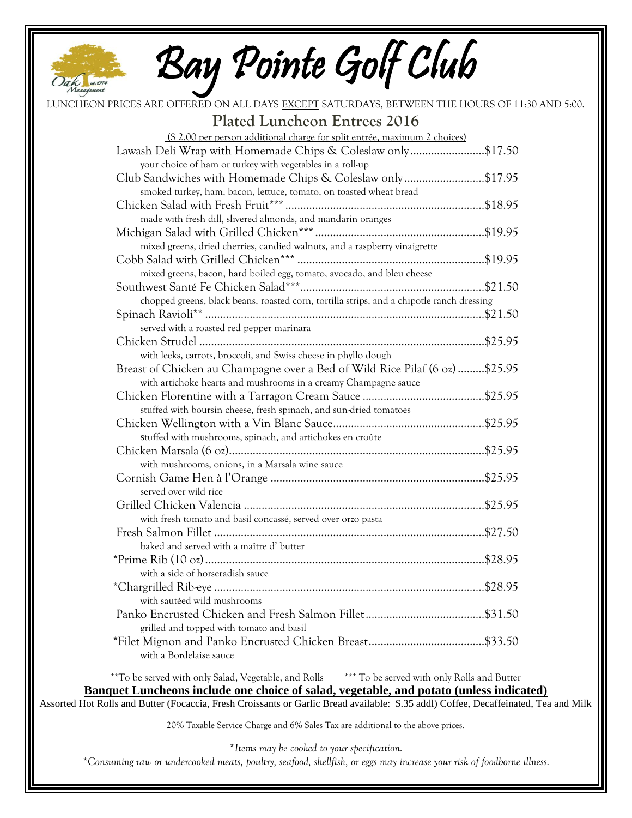

Bay Pointe Golf Club

| LUNCHEON PRICES ARE OFFERED ON ALL DAYS EXCEPT SATURDAYS, BETWEEN THE HOURS OF 11:30 AND 5:00.                                       |  |  |
|--------------------------------------------------------------------------------------------------------------------------------------|--|--|
| <b>Plated Luncheon Entrees 2016</b>                                                                                                  |  |  |
| (\$ 2.00 per person additional charge for split entrée, maximum 2 choices)                                                           |  |  |
| Lawash Deli Wrap with Homemade Chips & Coleslaw only\$17.50                                                                          |  |  |
| your choice of ham or turkey with vegetables in a roll-up                                                                            |  |  |
| Club Sandwiches with Homemade Chips & Coleslaw only\$17.95                                                                           |  |  |
| smoked turkey, ham, bacon, lettuce, tomato, on toasted wheat bread                                                                   |  |  |
|                                                                                                                                      |  |  |
| made with fresh dill, slivered almonds, and mandarin oranges                                                                         |  |  |
|                                                                                                                                      |  |  |
| mixed greens, dried cherries, candied walnuts, and a raspberry vinaigrette                                                           |  |  |
|                                                                                                                                      |  |  |
| mixed greens, bacon, hard boiled egg, tomato, avocado, and bleu cheese                                                               |  |  |
|                                                                                                                                      |  |  |
| chopped greens, black beans, roasted corn, tortilla strips, and a chipotle ranch dressing                                            |  |  |
|                                                                                                                                      |  |  |
| served with a roasted red pepper marinara                                                                                            |  |  |
|                                                                                                                                      |  |  |
| with leeks, carrots, broccoli, and Swiss cheese in phyllo dough                                                                      |  |  |
| Breast of Chicken au Champagne over a Bed of Wild Rice Pilaf (6 oz) \$25.95                                                          |  |  |
| with artichoke hearts and mushrooms in a creamy Champagne sauce                                                                      |  |  |
|                                                                                                                                      |  |  |
| stuffed with boursin cheese, fresh spinach, and sun-dried tomatoes                                                                   |  |  |
| stuffed with mushrooms, spinach, and artichokes en croûte                                                                            |  |  |
|                                                                                                                                      |  |  |
| with mushrooms, onions, in a Marsala wine sauce                                                                                      |  |  |
|                                                                                                                                      |  |  |
| served over wild rice                                                                                                                |  |  |
|                                                                                                                                      |  |  |
| with fresh tomato and basil concassé, served over orzo pasta                                                                         |  |  |
|                                                                                                                                      |  |  |
| baked and served with a maître d' butter                                                                                             |  |  |
|                                                                                                                                      |  |  |
| with a side of horseradish sauce                                                                                                     |  |  |
|                                                                                                                                      |  |  |
| with sautéed wild mushrooms                                                                                                          |  |  |
|                                                                                                                                      |  |  |
| grilled and topped with tomato and basil                                                                                             |  |  |
|                                                                                                                                      |  |  |
| with a Bordelaise sauce                                                                                                              |  |  |
| **To be served with only Salad, Vegetable, and Rolls *** To be served with only Rolls and Butter                                     |  |  |
| Banquet Luncheons include one choice of salad, vegetable, and potato (unless indicated)                                              |  |  |
| Assorted Hot Rolls and Butter (Focaccia, Fresh Croissants or Garlic Bread available: \$.35 addl) Coffee, Decaffeinated, Tea and Milk |  |  |
| 20% Taxable Service Charge and 6% Sales Tax are additional to the above prices.                                                      |  |  |
|                                                                                                                                      |  |  |

*\*Items may be cooked to your specification.*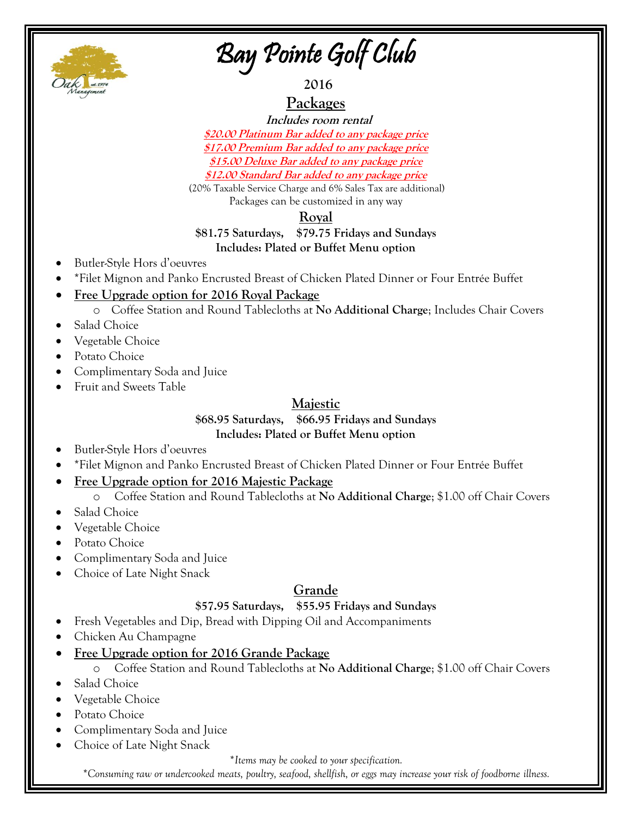

## Bay Pointe Golf Club

**2016**

**Packages**

 **Includes room rental \$20.00 Platinum Bar added to any package price \$17.00 Premium Bar added to any package price \$15.00 Deluxe Bar added to any package price \$12.00 Standard Bar added to any package price**

(20% Taxable Service Charge and 6% Sales Tax are additional) Packages can be customized in any way

## **Royal**

## **\$81.75 Saturdays, \$79.75 Fridays and Sundays Includes: Plated or Buffet Menu option**

- Butler-Style Hors d'oeuvres
- \*Filet Mignon and Panko Encrusted Breast of Chicken Plated Dinner or Four Entrée Buffet
- **Free Upgrade option for 2016 Royal Package**
	- o Coffee Station and Round Tablecloths at **No Additional Charge**; Includes Chair Covers
- Salad Choice
- Vegetable Choice
- Potato Choice
- Complimentary Soda and Juice
- Fruit and Sweets Table

## **Majestic**

### **\$68.95 Saturdays, \$66.95 Fridays and Sundays Includes: Plated or Buffet Menu option**

- Butler-Style Hors d'oeuvres
- \*Filet Mignon and Panko Encrusted Breast of Chicken Plated Dinner or Four Entrée Buffet
- **Free Upgrade option for 2016 Majestic Package**
	- o Coffee Station and Round Tablecloths at **No Additional Charge**; \$1.00 off Chair Covers
- Salad Choice
- Vegetable Choice
- Potato Choice
- Complimentary Soda and Juice
- Choice of Late Night Snack

## **Grande**

## **\$57.95 Saturdays, \$55.95 Fridays and Sundays**

- Fresh Vegetables and Dip, Bread with Dipping Oil and Accompaniments
- Chicken Au Champagne
- **Free Upgrade option for 2016 Grande Package**

## o Coffee Station and Round Tablecloths at **No Additional Charge**; \$1.00 off Chair Covers

- Salad Choice
- Vegetable Choice
- Potato Choice
- Complimentary Soda and Juice
- Choice of Late Night Snack

*\*Items may be cooked to your specification.*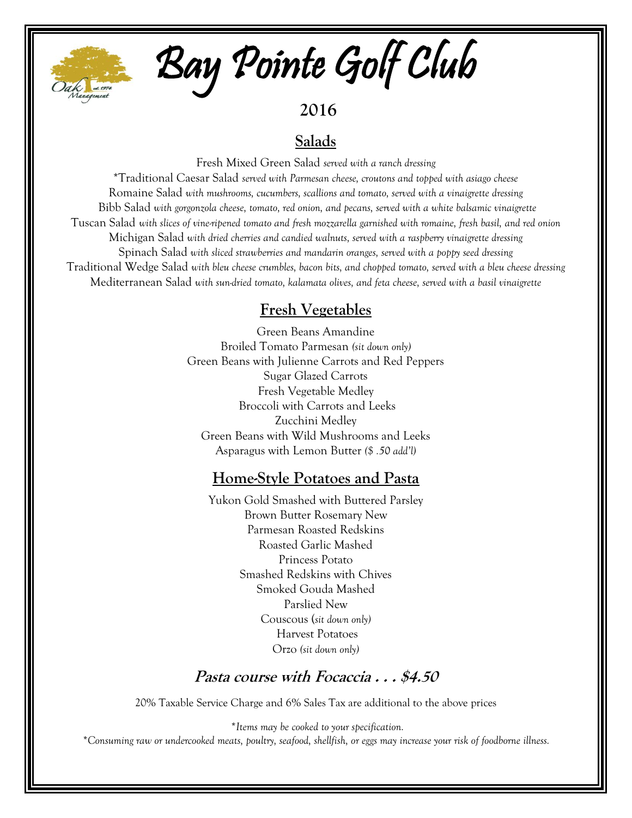

# Bay Pointe Golf Club

**2016**

## **Salads**

Fresh Mixed Green Salad *served with a ranch dressing*

\*Traditional Caesar Salad *served with Parmesan cheese, croutons and topped with asiago cheese* Romaine Salad *with mushrooms, cucumbers, scallions and tomato, served with a vinaigrette dressing* Bibb Salad *with gorgonzola cheese, tomato, red onion, and pecans, served with a white balsamic vinaigrette* Tuscan Salad *with slices of vine-ripened tomato and fresh mozzarella garnished with romaine, fresh basil, and red onion*  Michigan Salad *with dried cherries and candied walnuts, served with a raspberry vinaigrette dressing* Spinach Salad *with sliced strawberries and mandarin oranges, served with a poppy seed dressing* Traditional Wedge Salad *with bleu cheese crumbles, bacon bits, and chopped tomato, served with a bleu cheese dressing* Mediterranean Salad *with sun-dried tomato, kalamata olives, and feta cheese, served with a basil vinaigrette*

## **Fresh Vegetables**

Green Beans Amandine Broiled Tomato Parmesan *(sit down only)* Green Beans with Julienne Carrots and Red Peppers Sugar Glazed Carrots Fresh Vegetable Medley Broccoli with Carrots and Leeks Zucchini Medley Green Beans with Wild Mushrooms and Leeks Asparagus with Lemon Butter *(\$ .50 add'l)*

## **Home-Style Potatoes and Pasta**

Yukon Gold Smashed with Buttered Parsley Brown Butter Rosemary New Parmesan Roasted Redskins Roasted Garlic Mashed Princess Potato Smashed Redskins with Chives Smoked Gouda Mashed Parslied New Couscous (*sit down only)* Harvest Potatoes Orzo *(sit down only)*

## **Pasta course with Focaccia . . . \$4.50**

20% Taxable Service Charge and 6% Sales Tax are additional to the above prices

*\*Items may be cooked to your specification.*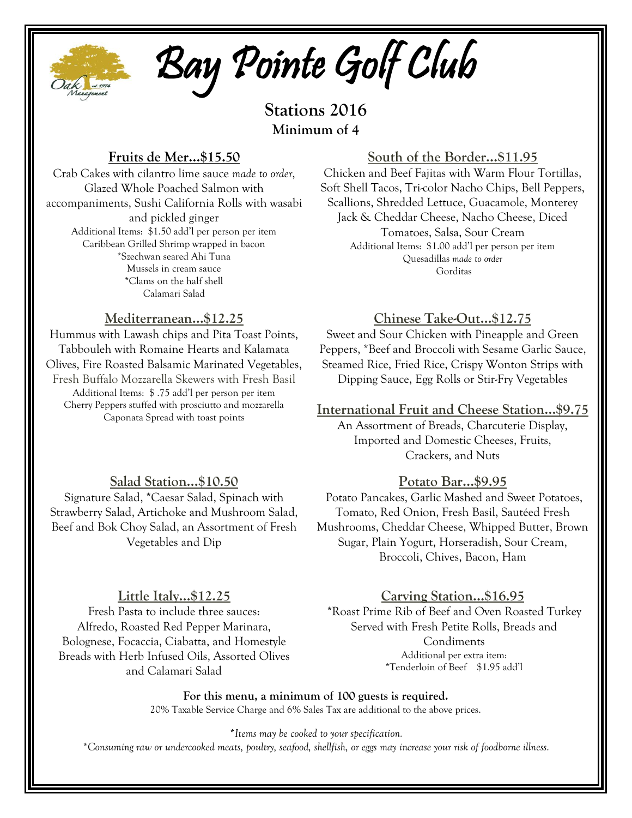

Bay Pointe Golf Club

**Stations 2016 Minimum of 4**

## **Fruits de Mer…\$15.50**

Crab Cakes with cilantro lime sauce *made to order*, Glazed Whole Poached Salmon with accompaniments, Sushi California Rolls with wasabi and pickled ginger Additional Items: \$1.50 add'l per person per item Caribbean Grilled Shrimp wrapped in bacon \*Szechwan seared Ahi Tuna Mussels in cream sauce \*Clams on the half shell Calamari Salad

## **Mediterranean…\$12.25**

Hummus with Lawash chips and Pita Toast Points, Tabbouleh with Romaine Hearts and Kalamata Olives, Fire Roasted Balsamic Marinated Vegetables, Fresh Buffalo Mozzarella Skewers with Fresh Basil Additional Items: \$ .75 add'l per person per item Cherry Peppers stuffed with prosciutto and mozzarella Caponata Spread with toast points

## **South of the Border…\$11.95**

Chicken and Beef Fajitas with Warm Flour Tortillas, Soft Shell Tacos, Tri-color Nacho Chips, Bell Peppers, Scallions, Shredded Lettuce, Guacamole, Monterey Jack & Cheddar Cheese, Nacho Cheese, Diced Tomatoes, Salsa, Sour Cream Additional Items: \$1.00 add'l per person per item Quesadillas *made to order* Gorditas

## **Chinese Take-Out…\$12.75**

Sweet and Sour Chicken with Pineapple and Green Peppers, \*Beef and Broccoli with Sesame Garlic Sauce, Steamed Rice, Fried Rice, Crispy Wonton Strips with Dipping Sauce, Egg Rolls or Stir-Fry Vegetables

#### **International Fruit and Cheese Station…\$9.75**

An Assortment of Breads, Charcuterie Display, Imported and Domestic Cheeses, Fruits, Crackers, and Nuts

## **Salad Station…\$10.50**

Signature Salad, \*Caesar Salad, Spinach with Strawberry Salad, Artichoke and Mushroom Salad, Beef and Bok Choy Salad, an Assortment of Fresh Vegetables and Dip

## **Potato Bar…\$9.95**

Potato Pancakes, Garlic Mashed and Sweet Potatoes, Tomato, Red Onion, Fresh Basil, Sautéed Fresh Mushrooms, Cheddar Cheese, Whipped Butter, Brown Sugar, Plain Yogurt, Horseradish, Sour Cream, Broccoli, Chives, Bacon, Ham

#### **Little Italy…\$12.25**

Fresh Pasta to include three sauces: Alfredo, Roasted Red Pepper Marinara, Bolognese, Focaccia, Ciabatta, and Homestyle Breads with Herb Infused Oils, Assorted Olives and Calamari Salad

## **Carving Station…\$16.95**

\*Roast Prime Rib of Beef and Oven Roasted Turkey Served with Fresh Petite Rolls, Breads and Condiments Additional per extra item: \*Tenderloin of Beef \$1.95 add'l

**For this menu, a minimum of 100 guests is required.** 20% Taxable Service Charge and 6% Sales Tax are additional to the above prices.

*\*Items may be cooked to your specification. \*Consuming raw or undercooked meats, poultry, seafood, shellfish, or eggs may increase your risk of foodborne illness.*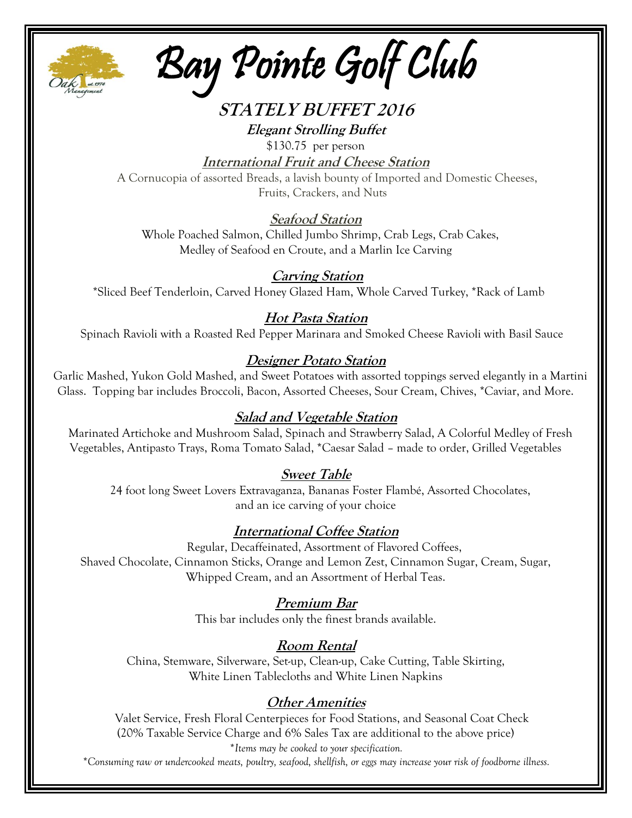

Bay Pointe Golf Club

## **STATELY BUFFET 2016 Elegant Strolling Buffet**

\$130.75 per person

**International Fruit and Cheese Station**

A Cornucopia of assorted Breads, a lavish bounty of Imported and Domestic Cheeses, Fruits, Crackers, and Nuts

## **Seafood Station**

Whole Poached Salmon, Chilled Jumbo Shrimp, Crab Legs, Crab Cakes, Medley of Seafood en Croute, and a Marlin Ice Carving

## **Carving Station**

\*Sliced Beef Tenderloin, Carved Honey Glazed Ham, Whole Carved Turkey, \*Rack of Lamb

## **Hot Pasta Station**

Spinach Ravioli with a Roasted Red Pepper Marinara and Smoked Cheese Ravioli with Basil Sauce

## **Designer Potato Station**

Garlic Mashed, Yukon Gold Mashed, and Sweet Potatoes with assorted toppings served elegantly in a Martini Glass. Topping bar includes Broccoli, Bacon, Assorted Cheeses, Sour Cream, Chives, \*Caviar, and More.

## **Salad and Vegetable Station**

Marinated Artichoke and Mushroom Salad, Spinach and Strawberry Salad, A Colorful Medley of Fresh Vegetables, Antipasto Trays, Roma Tomato Salad, \*Caesar Salad – made to order, Grilled Vegetables

## **Sweet Table**

 24 foot long Sweet Lovers Extravaganza, Bananas Foster Flambé, Assorted Chocolates, and an ice carving of your choice

## **International Coffee Station**

Regular, Decaffeinated, Assortment of Flavored Coffees, Shaved Chocolate, Cinnamon Sticks, Orange and Lemon Zest, Cinnamon Sugar, Cream, Sugar, Whipped Cream, and an Assortment of Herbal Teas.

## **Premium Bar**

This bar includes only the finest brands available.

## **Room Rental**

China, Stemware, Silverware, Set-up, Clean-up, Cake Cutting, Table Skirting, White Linen Tablecloths and White Linen Napkins

## **Other Amenities**

Valet Service, Fresh Floral Centerpieces for Food Stations, and Seasonal Coat Check (20% Taxable Service Charge and 6% Sales Tax are additional to the above price) *\*Items may be cooked to your specification.*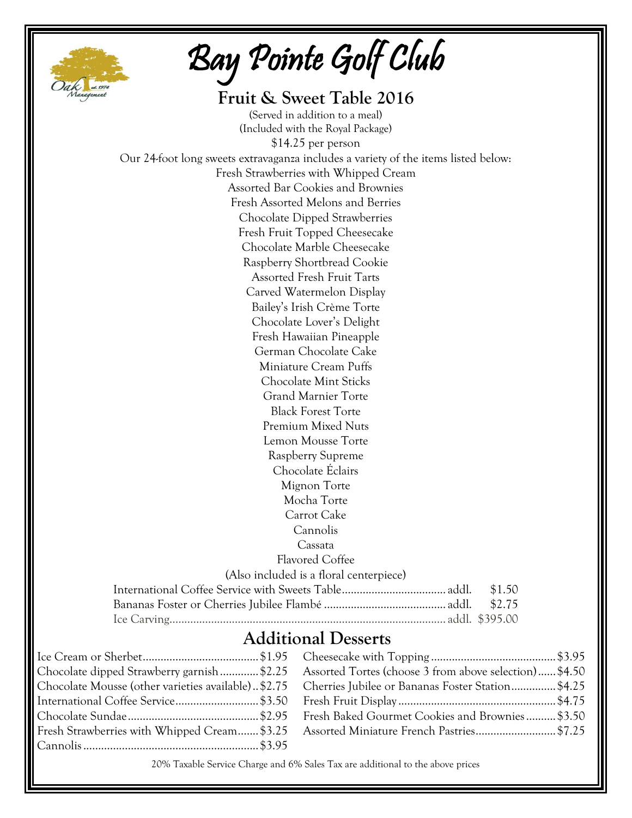

Bay Pointe Golf Club

| Fruit & Sweet Table 2016                                                           |        |
|------------------------------------------------------------------------------------|--------|
| (Served in addition to a meal)                                                     |        |
| (Included with the Royal Package)                                                  |        |
| \$14.25 per person                                                                 |        |
| Our 24-foot long sweets extravaganza includes a variety of the items listed below: |        |
| Fresh Strawberries with Whipped Cream                                              |        |
| Assorted Bar Cookies and Brownies                                                  |        |
| Fresh Assorted Melons and Berries                                                  |        |
| Chocolate Dipped Strawberries                                                      |        |
| Fresh Fruit Topped Cheesecake                                                      |        |
| Chocolate Marble Cheesecake                                                        |        |
| Raspberry Shortbread Cookie                                                        |        |
| <b>Assorted Fresh Fruit Tarts</b>                                                  |        |
| Carved Watermelon Display                                                          |        |
| Bailey's Irish Crème Torte                                                         |        |
| Chocolate Lover's Delight                                                          |        |
| Fresh Hawaiian Pineapple                                                           |        |
| German Chocolate Cake                                                              |        |
| Miniature Cream Puffs                                                              |        |
| <b>Chocolate Mint Sticks</b>                                                       |        |
| <b>Grand Marnier Torte</b>                                                         |        |
| <b>Black Forest Torte</b>                                                          |        |
| <b>Premium Mixed Nuts</b>                                                          |        |
| Lemon Mousse Torte                                                                 |        |
| Raspberry Supreme                                                                  |        |
| Chocolate Eclairs                                                                  |        |
| Mignon Torte                                                                       |        |
| Mocha Torte                                                                        |        |
| Carrot Cake                                                                        |        |
| Cannolis                                                                           |        |
| Cassata                                                                            |        |
| Flavored Coffee                                                                    |        |
| (Also included is a floral centerpiece)                                            |        |
|                                                                                    | \$1.50 |
|                                                                                    | \$2.75 |
|                                                                                    |        |
| Additional Decents                                                                 |        |

## **Additional Desserts**

| Chocolate dipped Strawberry garnish\$2.25 Assorted Tortes (choose 3 from above selection)\$4.50       |
|-------------------------------------------------------------------------------------------------------|
| Chocolate Mousse (other varieties available). \$2.75 Cherries Jubilee or Bananas Foster Station\$4.25 |
|                                                                                                       |
|                                                                                                       |
|                                                                                                       |
|                                                                                                       |

20% Taxable Service Charge and 6% Sales Tax are additional to the above prices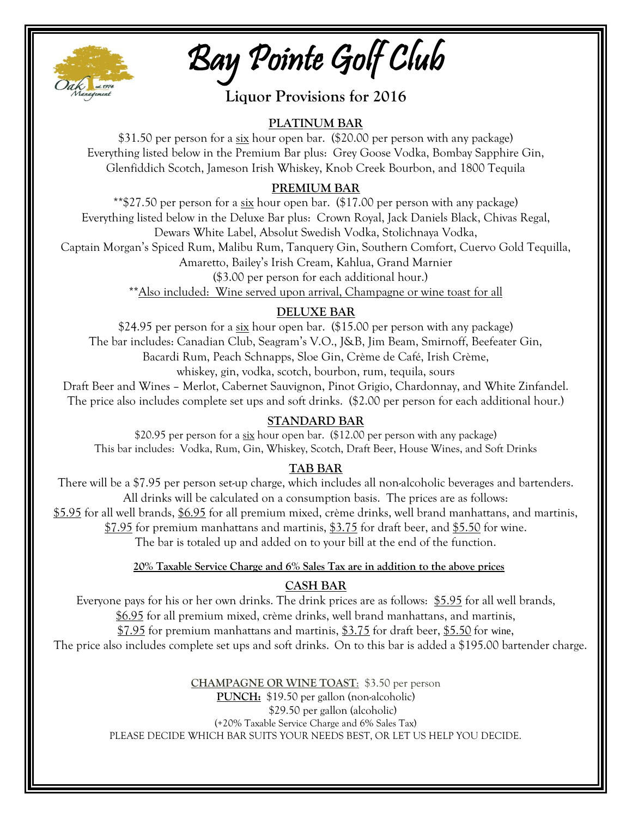

Bay Pointe Golf Club

**Liquor Provisions for 2016**

## **PLATINUM BAR**

\$31.50 per person for a  $\frac{six}{dx}$  hour open bar. (\$20.00 per person with any package) Everything listed below in the Premium Bar plus: Grey Goose Vodka, Bombay Sapphire Gin, Glenfiddich Scotch, Jameson Irish Whiskey, Knob Creek Bourbon, and 1800 Tequila

## **PREMIUM BAR**

\*\*\$27.50 per person for a  $\underline{\text{six}}$  hour open bar. (\$17.00 per person with any package) Everything listed below in the Deluxe Bar plus: Crown Royal, Jack Daniels Black, Chivas Regal, Dewars White Label, Absolut Swedish Vodka, Stolichnaya Vodka,

Captain Morgan's Spiced Rum, Malibu Rum, Tanquery Gin, Southern Comfort, Cuervo Gold Tequilla,

Amaretto, Bailey's Irish Cream, Kahlua, Grand Marnier

(\$3.00 per person for each additional hour.)

\*\*Also included: Wine served upon arrival, Champagne or wine toast for all

## **DELUXE BAR**

\$24.95 per person for a  $\frac{six}{dx}$  hour open bar. (\$15.00 per person with any package) The bar includes: Canadian Club, Seagram's V.O., J&B, Jim Beam, Smirnoff, Beefeater Gin, Bacardi Rum, Peach Schnapps, Sloe Gin, Crème de Café, Irish Crème, whiskey, gin, vodka, scotch, bourbon, rum, tequila, sours

Draft Beer and Wines – Merlot, Cabernet Sauvignon, Pinot Grigio, Chardonnay, and White Zinfandel. The price also includes complete set ups and soft drinks. (\$2.00 per person for each additional hour.)

## **STANDARD BAR**

\$20.95 per person for a six hour open bar. (\$12.00 per person with any package) This bar includes: Vodka, Rum, Gin, Whiskey, Scotch, Draft Beer, House Wines, and Soft Drinks

## **TAB BAR**

There will be a \$7.95 per person set-up charge, which includes all non-alcoholic beverages and bartenders. All drinks will be calculated on a consumption basis. The prices are as follows: \$5.95 for all well brands, \$6.95 for all premium mixed, crème drinks, well brand manhattans, and martinis, \$7.95 for premium manhattans and martinis, \$3.75 for draft beer, and \$5.50 for wine. The bar is totaled up and added on to your bill at the end of the function.

#### **20% Taxable Service Charge and 6% Sales Tax are in addition to the above prices**

## **CASH BAR**

Everyone pays for his or her own drinks. The drink prices are as follows: \$5.95 for all well brands, \$6.95 for all premium mixed, crème drinks, well brand manhattans, and martinis, \$7.95 for premium manhattans and martinis, \$3.75 for draft beer, \$5.50 for wine, The price also includes complete set ups and soft drinks. On to this bar is added a \$195.00 bartender charge.

> **CHAMPAGNE OR WINE TOAST**:\$3.50 per person **PUNCH:** \$19.50 per gallon (non-alcoholic) \$29.50 per gallon (alcoholic) (+20% Taxable Service Charge and 6% Sales Tax) PLEASE DECIDE WHICH BAR SUITS YOUR NEEDS BEST, OR LET US HELP YOU DECIDE.